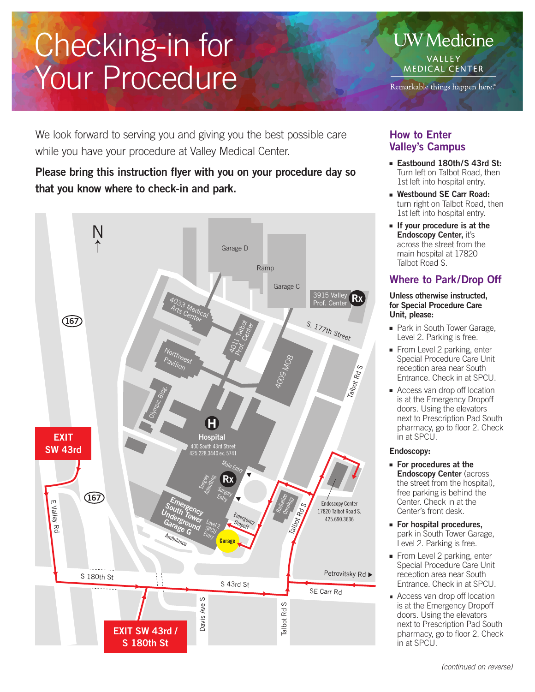# Checking-in for Your Procedure

**UW** Medicine **VALLEY MEDICAL CENTER** 

Remarkable things happen here.<sup>14</sup>

We look forward to serving you and giving you the best possible care while you have your procedure at Valley Medical Center.

# Please bring this instruction flyer with you on your procedure day so that you know where to check-in and park.



## How to Enter Valley's Campus

- Eastbound 180th/S 43rd St: Turn left on Talbot Road, then 1st left into hospital entry.
- Westbound SE Carr Road: turn right on Talbot Road, then 1st left into hospital entry.
- If your procedure is at the Endoscopy Center, it's across the street from the main hospital at 17820 Talbot Road S.

## Where to Park/Drop Off

#### Unless otherwise instructed, for Special Procedure Care Unit, please:

- Park in South Tower Garage, Level 2. Parking is free.
- From Level 2 parking, enter Special Procedure Care Unit reception area near South Entrance. Check in at SPCU.
- Access van drop off location is at the Emergency Dropoff doors. Using the elevators next to Prescription Pad South pharmacy, go to floor 2. Check in at SPCU.

#### Endoscopy:

- For procedures at the Endoscopy Center (across the street from the hospital), free parking is behind the Center. Check in at the Center's front desk.
- For hospital procedures, park in South Tower Garage, Level 2. Parking is free.
- From Level 2 parking, enter Special Procedure Care Unit reception area near South Entrance. Check in at SPCU.
- Access van drop off location is at the Emergency Dropoff doors. Using the elevators next to Prescription Pad South pharmacy, go to floor 2. Check in at SPCU.